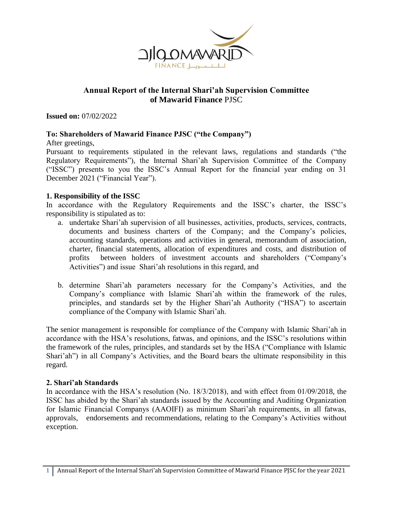

# **Annual Report of the Internal Shari'ah Supervision Committee of Mawarid Finance** PJSC

**Issued on:** 07/02/2022

## **To: Shareholders of Mawarid Finance PJSC ("the Company")**

After greetings,

Pursuant to requirements stipulated in the relevant laws, regulations and standards ("the Regulatory Requirements"), the Internal Shari'ah Supervision Committee of the Company ("ISSC") presents to you the ISSC's Annual Report for the financial year ending on 31 December 2021 ("Financial Year").

### **1. Responsibility of the ISSC**

In accordance with the Regulatory Requirements and the ISSC's charter, the ISSC's responsibility is stipulated as to:

- a. undertake Shari'ah supervision of all businesses, activities, products, services, contracts, documents and business charters of the Company; and the Company's policies, accounting standards, operations and activities in general, memorandum of association, charter, financial statements, allocation of expenditures and costs, and distribution of profits between holders of investment accounts and shareholders ("Company's Activities") and issue Shari'ah resolutions in this regard, and
- b. determine Shari'ah parameters necessary for the Company's Activities, and the Company's compliance with Islamic Shari'ah within the framework of the rules, principles, and standards set by the Higher Shari'ah Authority ("HSA") to ascertain compliance of the Company with Islamic Shari'ah.

The senior management is responsible for compliance of the Company with Islamic Shari'ah in accordance with the HSA's resolutions, fatwas, and opinions, and the ISSC's resolutions within the framework of the rules, principles, and standards set by the HSA ("Compliance with Islamic Shari'ah") in all Company's Activities, and the Board bears the ultimate responsibility in this regard.

### **2. Shari'ah Standards**

In accordance with the HSA's resolution (No. 18/3/2018), and with effect from 01/09/2018, the ISSC has abided by the Shari'ah standards issued by the Accounting and Auditing Organization for Islamic Financial Companys (AAOIFI) as minimum Shari'ah requirements, in all fatwas, approvals, endorsements and recommendations, relating to the Company's Activities without exception.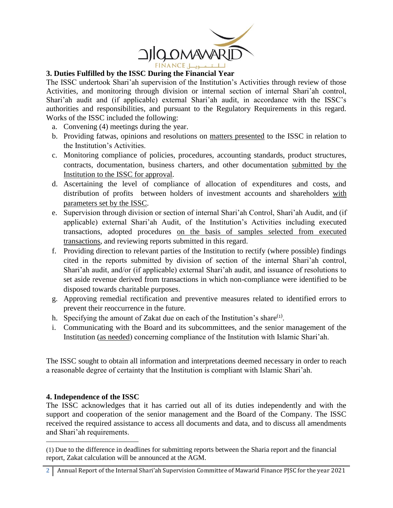

### **3. Duties Fulfilled by the ISSC During the Financial Year**

The ISSC undertook Shari'ah supervision of the Institution's Activities through review of those Activities, and monitoring through division or internal section of internal Shari'ah control, Shari'ah audit and (if applicable) external Shari'ah audit, in accordance with the ISSC's authorities and responsibilities, and pursuant to the Regulatory Requirements in this regard. Works of the ISSC included the following:

- a. Convening (4) meetings during the year.
- b. Providing fatwas, opinions and resolutions on matters presented to the ISSC in relation to the Institution's Activities.
- c. Monitoring compliance of policies, procedures, accounting standards, product structures, contracts, documentation, business charters, and other documentation submitted by the Institution to the ISSC for approval.
- d. Ascertaining the level of compliance of allocation of expenditures and costs, and distribution of profits between holders of investment accounts and shareholders with parameters set by the ISSC.
- e. Supervision through division or section of internal Shari'ah Control, Shari'ah Audit, and (if applicable) external Shari'ah Audit, of the Institution's Activities including executed transactions, adopted procedures on the basis of samples selected from executed transactions, and reviewing reports submitted in this regard.
- f. Providing direction to relevant parties of the Institution to rectify (where possible) findings cited in the reports submitted by division of section of the internal Shari'ah control, Shari'ah audit, and/or (if applicable) external Shari'ah audit, and issuance of resolutions to set aside revenue derived from transactions in which non-compliance were identified to be disposed towards charitable purposes.
- g. Approving remedial rectification and preventive measures related to identified errors to prevent their reoccurrence in the future.
- h. Specifying the amount of Zakat due on each of the Institution's share $<sup>(1)</sup>$ .</sup>
- i. Communicating with the Board and its subcommittees, and the senior management of the Institution (as needed) concerning compliance of the Institution with Islamic Shari'ah.

The ISSC sought to obtain all information and interpretations deemed necessary in order to reach a reasonable degree of certainty that the Institution is compliant with Islamic Shari'ah.

### **4. Independence of the ISSC**

 $\overline{a}$ 

The ISSC acknowledges that it has carried out all of its duties independently and with the support and cooperation of the senior management and the Board of the Company. The ISSC received the required assistance to access all documents and data, and to discuss all amendments and Shari'ah requirements.

<sup>(1)</sup> Due to the difference in deadlines for submitting reports between the Sharia report and the financial report, Zakat calculation will be announced at the AGM.

<sup>2</sup> Annual Report of the Internal Shari'ah Supervision Committee of Mawarid Finance PJSC for the year 2021